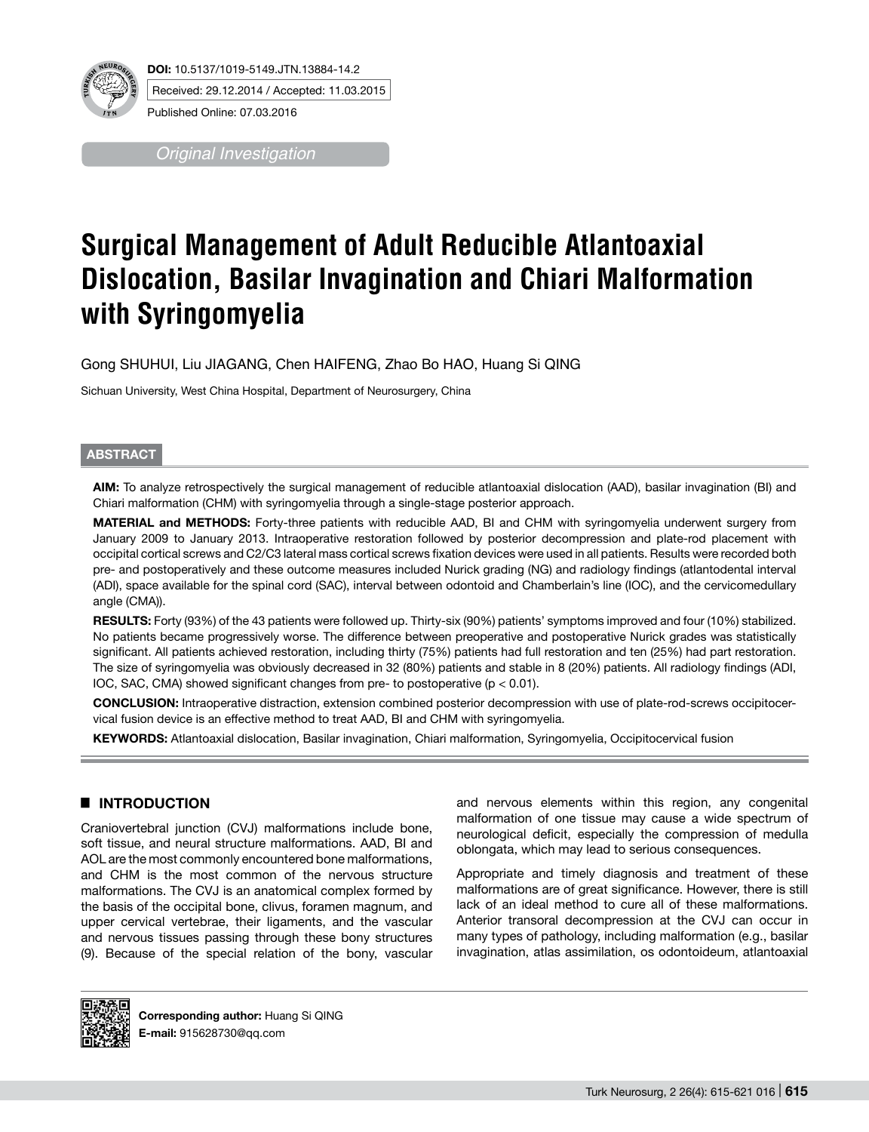

Published Online: 07.03.2016

*Original Investigation*

# **Surgical Management of Adult Reducible Atlantoaxial Dislocation, Basilar Invagination and Chiari Malformation with Syringomyelia**

Gong SHUHUI, Liu JIAGANG, Chen HAIFENG, Zhao Bo HAO, Huang Si QING

Sichuan University, West China Hospital, Department of Neurosurgery, China

## **ABSTRACT**

**AIm:** To analyze retrospectively the surgical management of reducible atlantoaxial dislocation (AAD), basilar invagination (BI) and Chiari malformation (CHM) with syringomyelia through a single-stage posterior approach.

**MaterIal and Methods:** Forty-three patients with reducible AAD, BI and CHM with syringomyelia underwent surgery from January 2009 to January 2013. Intraoperative restoration followed by posterior decompression and plate-rod placement with occipital cortical screws and C2/C3 lateral mass cortical screws fixation devices were used in all patients. Results were recorded both pre- and postoperatively and these outcome measures included Nurick grading (NG) and radiology findings (atlantodental interval (ADI), space available for the spinal cord (SAC), interval between odontoid and Chamberlain's line (IOC), and the cervicomedullary angle (CMA)).

**RESULTS:** Forty (93%) of the 43 patients were followed up. Thirty-six (90%) patients' symptoms improved and four (10%) stabilized. No patients became progressively worse. The difference between preoperative and postoperative Nurick grades was statistically significant. All patients achieved restoration, including thirty (75%) patients had full restoration and ten (25%) had part restoration. The size of syringomyelia was obviously decreased in 32 (80%) patients and stable in 8 (20%) patients. All radiology findings (ADI, IOC, SAC, CMA) showed significant changes from pre- to postoperative (p < 0.01).

**ConclusIon:** Intraoperative distraction, extension combined posterior decompression with use of plate-rod-screws occipitocervical fusion device is an effective method to treat AAD, BI and CHM with syringomyelia.

**Keywords:** Atlantoaxial dislocation, Basilar invagination, Chiari malformation, Syringomyelia, Occipitocervical fusion

# █ **INTRODUCTION**

Craniovertebral junction (CVJ) malformations include bone, soft tissue, and neural structure malformations. AAD, BI and AOL are the most commonly encountered bone malformations, and CHM is the most common of the nervous structure malformations. The CVJ is an anatomical complex formed by the basis of the occipital bone, clivus, foramen magnum, and upper cervical vertebrae, their ligaments, and the vascular and nervous tissues passing through these bony structures (9). Because of the special relation of the bony, vascular and nervous elements within this region, any congenital malformation of one tissue may cause a wide spectrum of neurological deficit, especially the compression of medulla oblongata, which may lead to serious consequences.

Appropriate and timely diagnosis and treatment of these malformations are of great significance. However, there is still lack of an ideal method to cure all of these malformations. Anterior transoral decompression at the CVJ can occur in many types of pathology, including malformation (e.g., basilar invagination, atlas assimilation, os odontoideum, atlantoaxial



**Corresponding author:** Huang Si QING **E-mail:** 915628730@qq.com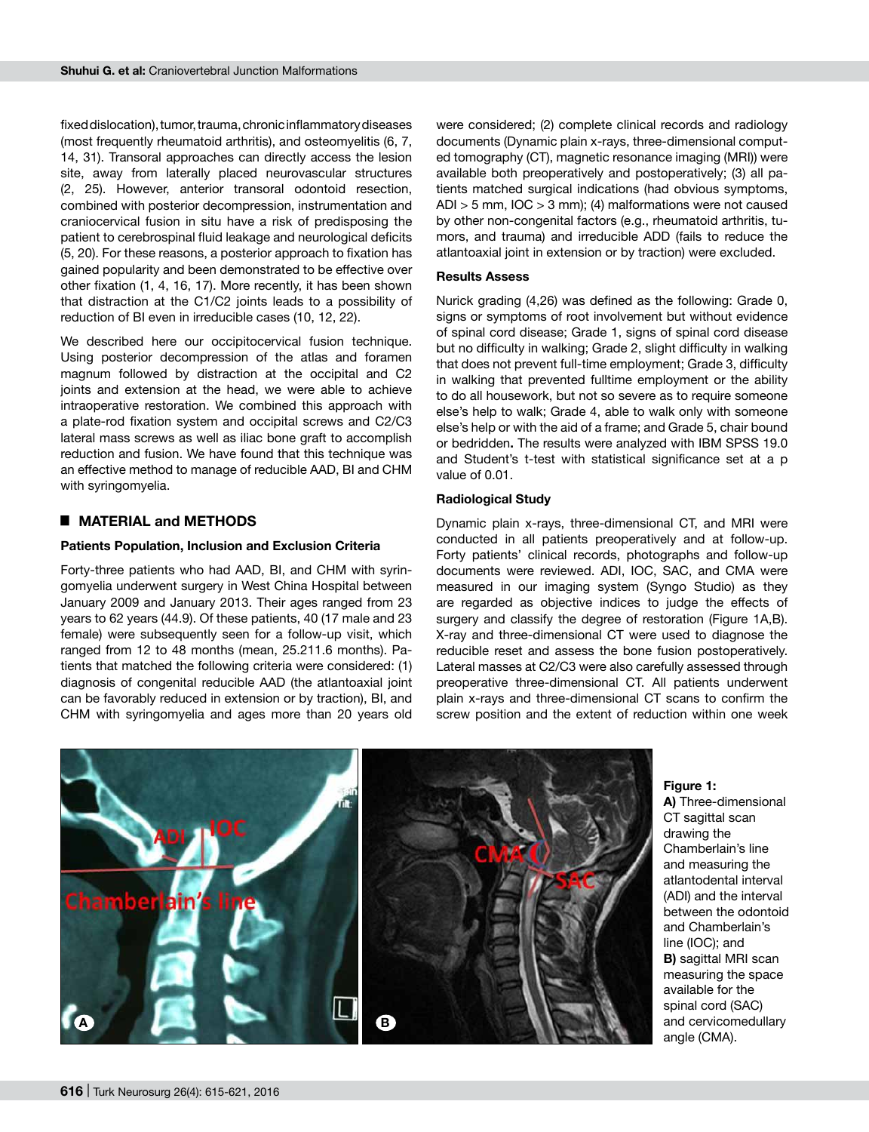fixed dislocation), tumor, trauma, chronic inflammatory diseases (most frequently rheumatoid arthritis), and osteomyelitis (6, 7, 14, 31). Transoral approaches can directly access the lesion site, away from laterally placed neurovascular structures (2, 25). However, anterior transoral odontoid resection, combined with posterior decompression, instrumentation and craniocervical fusion in situ have a risk of predisposing the patient to cerebrospinal fluid leakage and neurological deficits (5, 20). For these reasons, a posterior approach to fixation has gained popularity and been demonstrated to be effective over other fixation (1, 4, 16, 17). More recently, it has been shown that distraction at the C1/C2 joints leads to a possibility of reduction of BI even in irreducible cases (10, 12, 22).

We described here our occipitocervical fusion technique. Using posterior decompression of the atlas and foramen magnum followed by distraction at the occipital and C2 joints and extension at the head, we were able to achieve intraoperative restoration. We combined this approach with a plate-rod fixation system and occipital screws and C2/C3 lateral mass screws as well as iliac bone graft to accomplish reduction and fusion. We have found that this technique was an effective method to manage of reducible AAD, BI and CHM with syringomyelia.

## █ **MATERIAL and METHODS**

#### **Patients Population, Inclusion and Exclusion Criteria**

Forty-three patients who had AAD, BI, and CHM with syringomyelia underwent surgery in West China Hospital between January 2009 and January 2013. Their ages ranged from 23 years to 62 years (44.9). Of these patients, 40 (17 male and 23 female) were subsequently seen for a follow-up visit, which ranged from 12 to 48 months (mean, 25.211.6 months). Patients that matched the following criteria were considered: (1) diagnosis of congenital reducible AAD (the atlantoaxial joint can be favorably reduced in extension or by traction), BI, and CHM with syringomyelia and ages more than 20 years old were considered; (2) complete clinical records and radiology documents (Dynamic plain x-rays, three-dimensional computed tomography (CT), magnetic resonance imaging (MRI)) were available both preoperatively and postoperatively; (3) all patients matched surgical indications (had obvious symptoms, ADI > 5 mm, IOC > 3 mm); (4) malformations were not caused by other non-congenital factors (e.g., rheumatoid arthritis, tumors, and trauma) and irreducible ADD (fails to reduce the atlantoaxial joint in extension or by traction) were excluded.

#### **Results Assess**

Nurick grading (4,26) was defined as the following: Grade 0, signs or symptoms of root involvement but without evidence of spinal cord disease; Grade 1, signs of spinal cord disease but no difficulty in walking; Grade 2, slight difficulty in walking that does not prevent full-time employment; Grade 3, difficulty in walking that prevented fulltime employment or the ability to do all housework, but not so severe as to require someone else's help to walk; Grade 4, able to walk only with someone else's help or with the aid of a frame; and Grade 5, chair bound or bedridden**.** The results were analyzed with IBM SPSS 19.0 and Student's t-test with statistical significance set at a p value of 0.01.

### **Radiological Study**

Dynamic plain x-rays, three-dimensional CT, and MRI were conducted in all patients preoperatively and at follow-up. Forty patients' clinical records, photographs and follow-up documents were reviewed. ADI, IOC, SAC, and CMA were measured in our imaging system (Syngo Studio) as they are regarded as objective indices to judge the effects of surgery and classify the degree of restoration (Figure 1A,B). X-ray and three-dimensional CT were used to diagnose the reducible reset and assess the bone fusion postoperatively. Lateral masses at C2/C3 were also carefully assessed through preoperative three-dimensional CT. All patients underwent plain x-rays and three-dimensional CT scans to confirm the screw position and the extent of reduction within one week



**Figure 1:**

**a)** Three-dimensional CT sagittal scan drawing the Chamberlain's line and measuring the atlantodental interval (ADI) and the interval between the odontoid and Chamberlain's line (IOC); and **b)** sagittal MRI scan measuring the space available for the spinal cord (SAC) and cervicomedullary angle (CMA).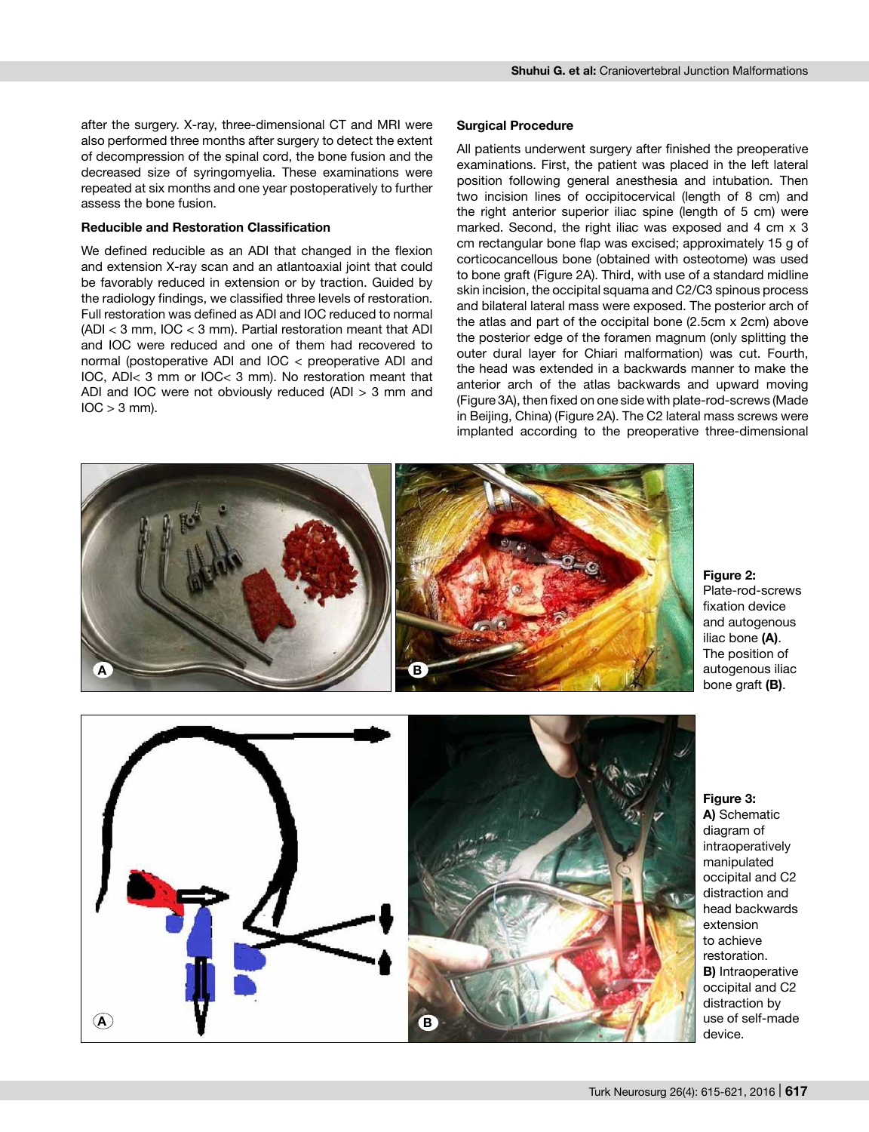after the surgery. X-ray, three-dimensional CT and MRI were also performed three months after surgery to detect the extent of decompression of the spinal cord, the bone fusion and the decreased size of syringomyelia. These examinations were repeated at six months and one year postoperatively to further assess the bone fusion.

## **Reducible and Restoration Classification**

We defined reducible as an ADI that changed in the flexion and extension X-ray scan and an atlantoaxial joint that could be favorably reduced in extension or by traction. Guided by the radiology findings, we classified three levels of restoration. Full restoration was defined as ADI and IOC reduced to normal (ADI < 3 mm, IOC < 3 mm). Partial restoration meant that ADI and IOC were reduced and one of them had recovered to normal (postoperative ADI and IOC < preoperative ADI and IOC, ADI< 3 mm or IOC< 3 mm). No restoration meant that ADI and IOC were not obviously reduced (ADI > 3 mm and  $IOC > 3$  mm).

#### **Surgical Procedure**

All patients underwent surgery after finished the preoperative examinations. First, the patient was placed in the left lateral position following general anesthesia and intubation. Then two incision lines of occipitocervical (length of 8 cm) and the right anterior superior iliac spine (length of 5 cm) were marked. Second, the right iliac was exposed and 4 cm x 3 cm rectangular bone flap was excised; approximately 15 g of corticocancellous bone (obtained with osteotome) was used to bone graft (Figure 2a). Third, with use of a standard midline skin incision, the occipital squama and C2/C3 spinous process and bilateral lateral mass were exposed. The posterior arch of the atlas and part of the occipital bone (2.5cm x 2cm) above the posterior edge of the foramen magnum (only splitting the outer dural layer for Chiari malformation) was cut. Fourth, the head was extended in a backwards manner to make the anterior arch of the atlas backwards and upward moving (Figure 3a), then fixed on one side with plate-rod-screws (Made in Beijing, China) (Figure 2A). The C2 lateral mass screws were implanted according to the preoperative three-dimensional



#### **Figure 2:**

Plate-rod-screws fixation device and autogenous iliac bone **(a)**. The position of autogenous iliac bone graft **(b)**.

**Figure 3: a)** Schematic diagram of intraoperatively manipulated occipital and C2 distraction and head backwards extension to achieve restoration. **B)** Intraoperative occipital and C2 distraction by use of self-made device.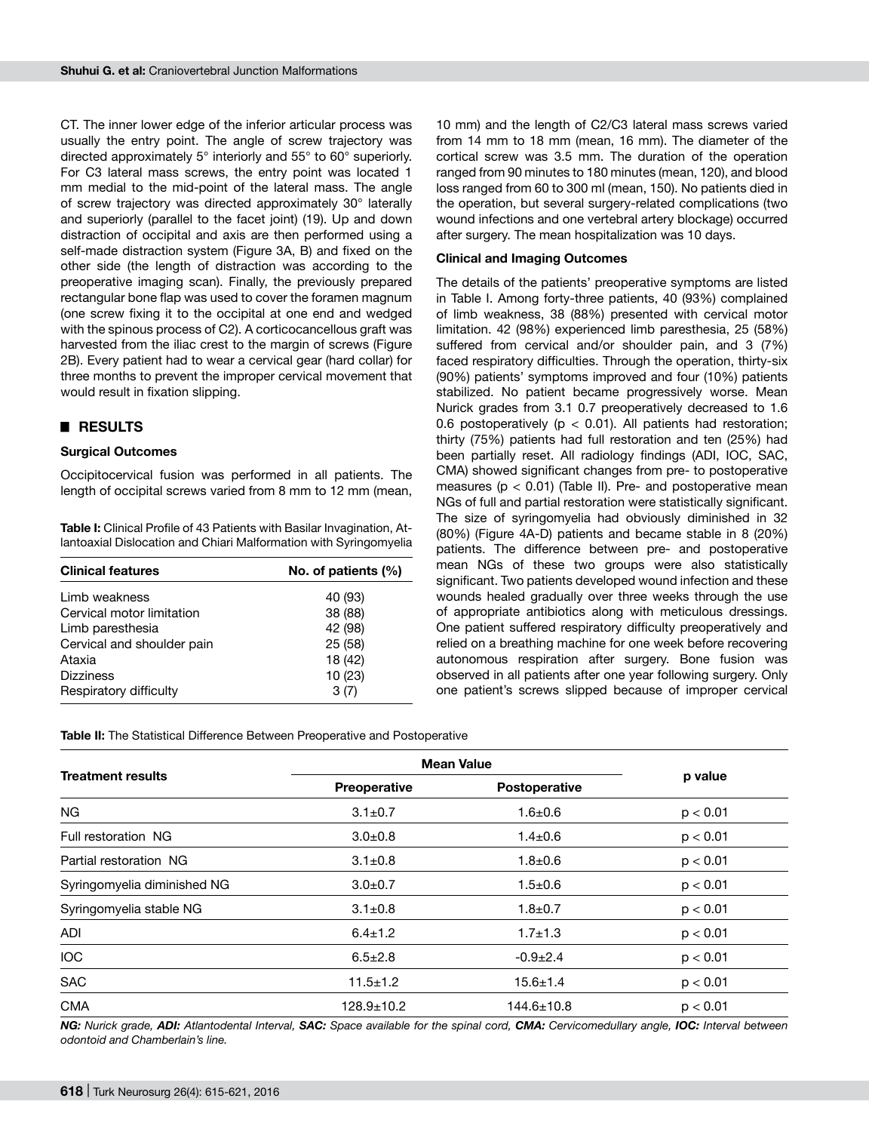CT. The inner lower edge of the inferior articular process was usually the entry point. The angle of screw trajectory was directed approximately 5° interiorly and 55° to 60° superiorly. For C3 lateral mass screws, the entry point was located 1 mm medial to the mid-point of the lateral mass. The angle of screw trajectory was directed approximately 30° laterally and superiorly (parallel to the facet joint) (19). Up and down distraction of occipital and axis are then performed using a self-made distraction system (Figure 3A, B) and fixed on the other side (the length of distraction was according to the preoperative imaging scan). Finally, the previously prepared rectangular bone flap was used to cover the foramen magnum (one screw fixing it to the occipital at one end and wedged with the spinous process of C2). A corticocancellous graft was harvested from the iliac crest to the margin of screws (Figure 2b). Every patient had to wear a cervical gear (hard collar) for three months to prevent the improper cervical movement that would result in fixation slipping.

## █ **RESULTS**

#### **Surgical Outcomes**

Occipitocervical fusion was performed in all patients. The length of occipital screws varied from 8 mm to 12 mm (mean,

**Table I:** Clinical Profile of 43 Patients with Basilar Invagination, Atlantoaxial Dislocation and Chiari Malformation with Syringomyelia

| <b>Clinical features</b>   | No. of patients $(\%)$ |  |
|----------------------------|------------------------|--|
| Limb weakness              | 40 (93)                |  |
| Cervical motor limitation  | 38 (88)                |  |
| Limb paresthesia           | 42 (98)                |  |
| Cervical and shoulder pain | 25 (58)                |  |
| Ataxia                     | 18 (42)                |  |
| <b>Dizziness</b>           | 10(23)                 |  |
| Respiratory difficulty     | 3(7)                   |  |

10 mm) and the length of C2/C3 lateral mass screws varied from 14 mm to 18 mm (mean, 16 mm). The diameter of the cortical screw was 3.5 mm. The duration of the operation ranged from 90 minutes to 180 minutes (mean, 120), and blood loss ranged from 60 to 300 ml (mean, 150). No patients died in the operation, but several surgery-related complications (two wound infections and one vertebral artery blockage) occurred after surgery. The mean hospitalization was 10 days.

#### **Clinical and Imaging Outcomes**

The details of the patients' preoperative symptoms are listed in Table I. Among forty-three patients, 40 (93%) complained of limb weakness, 38 (88%) presented with cervical motor limitation. 42 (98%) experienced limb paresthesia, 25 (58%) suffered from cervical and/or shoulder pain, and 3 (7%) faced respiratory difficulties. Through the operation, thirty-six (90%) patients' symptoms improved and four (10%) patients stabilized. No patient became progressively worse. Mean Nurick grades from 3.1 0.7 preoperatively decreased to 1.6 0.6 postoperatively ( $p < 0.01$ ). All patients had restoration; thirty (75%) patients had full restoration and ten (25%) had been partially reset. All radiology findings (ADI, IOC, SAC, CMA) showed significant changes from pre- to postoperative measures ( $p < 0.01$ ) (Table II). Pre- and postoperative mean NGs of full and partial restoration were statistically significant. The size of syringomyelia had obviously diminished in 32 (80%) (Figure 4A-D) patients and became stable in 8 (20%) patients. The difference between pre- and postoperative mean NGs of these two groups were also statistically significant. Two patients developed wound infection and these wounds healed gradually over three weeks through the use of appropriate antibiotics along with meticulous dressings. One patient suffered respiratory difficulty preoperatively and relied on a breathing machine for one week before recovering autonomous respiration after surgery. Bone fusion was observed in all patients after one year following surgery. Only one patient's screws slipped because of improper cervical

**Table II:** The Statistical Difference Between Preoperative and Postoperative

| <b>Treatment results</b>    | <b>Mean Value</b> |                  |          |
|-----------------------------|-------------------|------------------|----------|
|                             | Preoperative      | Postoperative    | p value  |
| <b>NG</b>                   | $3.1 \pm 0.7$     | $1.6 + 0.6$      | p < 0.01 |
| Full restoration NG         | $3.0 + 0.8$       | $1.4 \pm 0.6$    | p < 0.01 |
| Partial restoration NG      | $3.1 \pm 0.8$     | $1.8 + 0.6$      | p < 0.01 |
| Syringomyelia diminished NG | $3.0 + 0.7$       | $1.5 + 0.6$      | p < 0.01 |
| Syringomyelia stable NG     | $3.1 \pm 0.8$     | $1.8 + 0.7$      | p < 0.01 |
| <b>ADI</b>                  | $6.4 \pm 1.2$     | $1.7 \pm 1.3$    | p < 0.01 |
| <b>IOC</b>                  | $6.5 \pm 2.8$     | $-0.9 + 2.4$     | p < 0.01 |
| <b>SAC</b>                  | $11.5 \pm 1.2$    | $15.6 \pm 1.4$   | p < 0.01 |
| <b>CMA</b>                  | $128.9 \pm 10.2$  | $144.6 \pm 10.8$ | p < 0.01 |

*NG: Nurick grade, ADI: Atlantodental Interval, SAC: Space available for the spinal cord, CMA: Cervicomedullary angle, IOC: Interval between odontoid and Chamberlain's line.*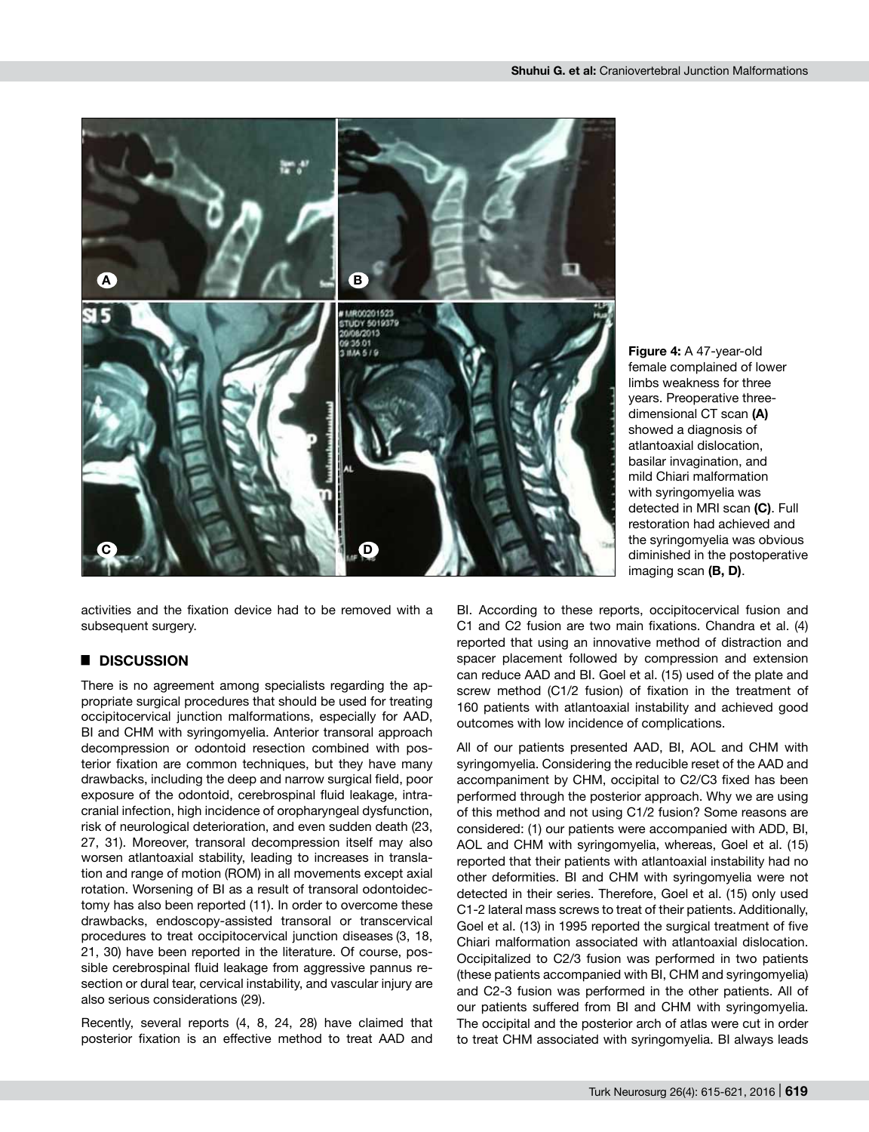

activities and the fixation device had to be removed with a subsequent surgery.

# █ **DISCUSSION**

There is no agreement among specialists regarding the appropriate surgical procedures that should be used for treating occipitocervical junction malformations, especially for AAD, BI and CHM with syringomyelia. Anterior transoral approach decompression or odontoid resection combined with posterior fixation are common techniques, but they have many drawbacks, including the deep and narrow surgical field, poor exposure of the odontoid, cerebrospinal fluid leakage, intracranial infection, high incidence of oropharyngeal dysfunction, risk of neurological deterioration, and even sudden death (23, 27, 31). Moreover, transoral decompression itself may also worsen atlantoaxial stability, leading to increases in translation and range of motion (ROM) in all movements except axial rotation. Worsening of BI as a result of transoral odontoidectomy has also been reported (11). In order to overcome these drawbacks, endoscopy-assisted transoral or transcervical procedures to treat occipitocervical junction diseases (3, 18, 21, 30) have been reported in the literature. Of course, possible cerebrospinal fluid leakage from aggressive pannus resection or dural tear, cervical instability, and vascular injury are also serious considerations (29).

Recently, several reports (4, 8, 24, 28) have claimed that posterior fixation is an effective method to treat AAD and

**Figure 4:** A 47-year-old female complained of lower limbs weakness for three years. Preoperative threedimensional CT scan **(a)**  showed a diagnosis of atlantoaxial dislocation, basilar invagination, and mild Chiari malformation with syringomyelia was detected in MRI scan **(c)**. Full restoration had achieved and the syringomyelia was obvious diminished in the postoperative imaging scan (B, D).

BI. According to these reports, occipitocervical fusion and C1 and C2 fusion are two main fixations. Chandra et al. (4) reported that using an innovative method of distraction and spacer placement followed by compression and extension can reduce AAD and BI. Goel et al. (15) used of the plate and screw method (C1/2 fusion) of fixation in the treatment of 160 patients with atlantoaxial instability and achieved good outcomes with low incidence of complications.

All of our patients presented AAD, BI, AOL and CHM with syringomyelia. Considering the reducible reset of the AAD and accompaniment by CHM, occipital to C2/C3 fixed has been performed through the posterior approach. Why we are using of this method and not using C1/2 fusion? Some reasons are considered: (1) our patients were accompanied with ADD, BI, AOL and CHM with syringomyelia, whereas, Goel et al. (15) reported that their patients with atlantoaxial instability had no other deformities. BI and CHM with syringomyelia were not detected in their series. Therefore, Goel et al. (15) only used C1-2 lateral mass screws to treat of their patients. Additionally, Goel et al. (13) in 1995 reported the surgical treatment of five Chiari malformation associated with atlantoaxial dislocation. Occipitalized to C2/3 fusion was performed in two patients (these patients accompanied with BI, CHM and syringomyelia) and C2-3 fusion was performed in the other patients. All of our patients suffered from BI and CHM with syringomyelia. The occipital and the posterior arch of atlas were cut in order to treat CHM associated with syringomyelia. BI always leads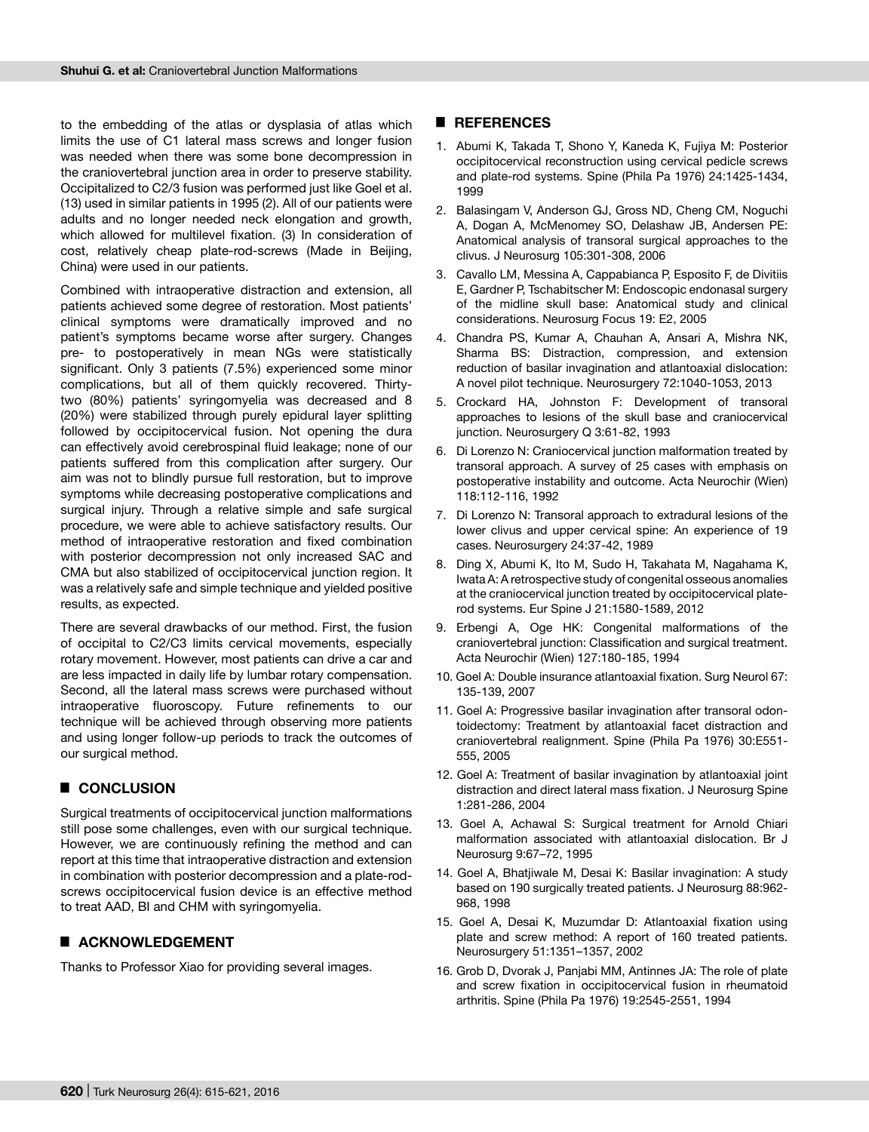to the embedding of the atlas or dysplasia of atlas which limits the use of C1 lateral mass screws and longer fusion was needed when there was some bone decompression in the craniovertebral junction area in order to preserve stability. Occipitalized to C2/3 fusion was performed just like Goel et al. (13) used in similar patients in 1995 (2). All of our patients were adults and no longer needed neck elongation and growth, which allowed for multilevel fixation. (3) In consideration of cost, relatively cheap plate-rod-screws (Made in Beijing, China) were used in our patients.

Combined with intraoperative distraction and extension, all patients achieved some degree of restoration. Most patients' clinical symptoms were dramatically improved and no patient's symptoms became worse after surgery. Changes pre- to postoperatively in mean NGs were statistically significant. Only 3 patients (7.5%) experienced some minor complications, but all of them quickly recovered. Thirtytwo (80%) patients' syringomyelia was decreased and 8 (20%) were stabilized through purely epidural layer splitting followed by occipitocervical fusion. Not opening the dura can effectively avoid cerebrospinal fluid leakage; none of our patients suffered from this complication after surgery. Our aim was not to blindly pursue full restoration, but to improve symptoms while decreasing postoperative complications and surgical injury. Through a relative simple and safe surgical procedure, we were able to achieve satisfactory results. Our method of intraoperative restoration and fixed combination with posterior decompression not only increased SAC and CMA but also stabilized of occipitocervical junction region. It was a relatively safe and simple technique and yielded positive results, as expected.

There are several drawbacks of our method. First, the fusion of occipital to C2/C3 limits cervical movements, especially rotary movement. However, most patients can drive a car and are less impacted in daily life by lumbar rotary compensation. Second, all the lateral mass screws were purchased without intraoperative fluoroscopy. Future refinements to our technique will be achieved through observing more patients and using longer follow-up periods to track the outcomes of our surgical method.

# █ **CONCLUSION**

Surgical treatments of occipitocervical junction malformations still pose some challenges, even with our surgical technique. However, we are continuously refining the method and can report at this time that intraoperative distraction and extension in combination with posterior decompression and a plate-rodscrews occipitocervical fusion device is an effective method to treat AAD, BI and CHM with syringomyelia.

# ■ **ACKNOWLEDGEMENT**

Thanks to Professor Xiao for providing several images.

#### █ **REFERENCES**

- 1. Abumi K, Takada T, Shono Y, Kaneda K, Fujiya M: Posterior occipitocervical reconstruction using cervical pedicle screws and plate-rod systems. Spine (Phila Pa 1976) 24:1425-1434, 1999
- 2. Balasingam V, Anderson GJ, Gross ND, Cheng CM, Noguchi A, Dogan A, McMenomey SO, Delashaw JB, Andersen PE: Anatomical analysis of transoral surgical approaches to the clivus. J Neurosurg 105:301-308, 2006
- 3. Cavallo LM, Messina A, Cappabianca P, Esposito F, de Divitiis E, Gardner P, Tschabitscher M: Endoscopic endonasal surgery of the midline skull base: Anatomical study and clinical considerations. Neurosurg Focus 19: E2, 2005
- 4. Chandra PS, Kumar A, Chauhan A, Ansari A, Mishra NK, Sharma BS: Distraction, compression, and extension reduction of basilar invagination and atlantoaxial dislocation: A novel pilot technique. Neurosurgery 72:1040-1053, 2013
- 5. Crockard HA, Johnston F: Development of transoral approaches to lesions of the skull base and craniocervical junction. Neurosurgery Q 3:61-82, 1993
- 6. Di Lorenzo N: Craniocervical junction malformation treated by transoral approach. A survey of 25 cases with emphasis on postoperative instability and outcome. Acta Neurochir (Wien) 118:112-116, 1992
- 7. Di Lorenzo N: Transoral approach to extradural lesions of the lower clivus and upper cervical spine: An experience of 19 cases. Neurosurgery 24:37-42, 1989
- 8. Ding X, Abumi K, Ito M, Sudo H, Takahata M, Nagahama K, Iwata A: A retrospective study of congenital osseous anomalies at the craniocervical junction treated by occipitocervical platerod systems. Eur Spine J 21:1580-1589, 2012
- 9. Erbengi A, Oge HK: Congenital malformations of the craniovertebral junction: Classification and surgical treatment. Acta Neurochir (Wien) 127:180-185, 1994
- 10. Goel A: Double insurance atlantoaxial fixation. Surg Neurol 67: 135-139, 2007
- 11. Goel A: Progressive basilar invagination after transoral odontoidectomy: Treatment by atlantoaxial facet distraction and craniovertebral realignment. Spine (Phila Pa 1976) 30:E551- 555, 2005
- 12. Goel A: Treatment of basilar invagination by atlantoaxial joint distraction and direct lateral mass fixation. J Neurosurg Spine 1:281-286, 2004
- 13. Goel A, Achawal S: Surgical treatment for Arnold Chiari malformation associated with atlantoaxial dislocation. Br J Neurosurg 9:67–72, 1995
- 14. Goel A, Bhatjiwale M, Desai K: Basilar invagination: A study based on 190 surgically treated patients. J Neurosurg 88:962- 968, 1998
- 15. Goel A, Desai K, Muzumdar D: Atlantoaxial fixation using plate and screw method: A report of 160 treated patients. Neurosurgery 51:1351–1357, 2002
- 16. Grob D, Dvorak J, Panjabi MM, Antinnes JA: The role of plate and screw fixation in occipitocervical fusion in rheumatoid arthritis. Spine (Phila Pa 1976) 19:2545-2551, 1994